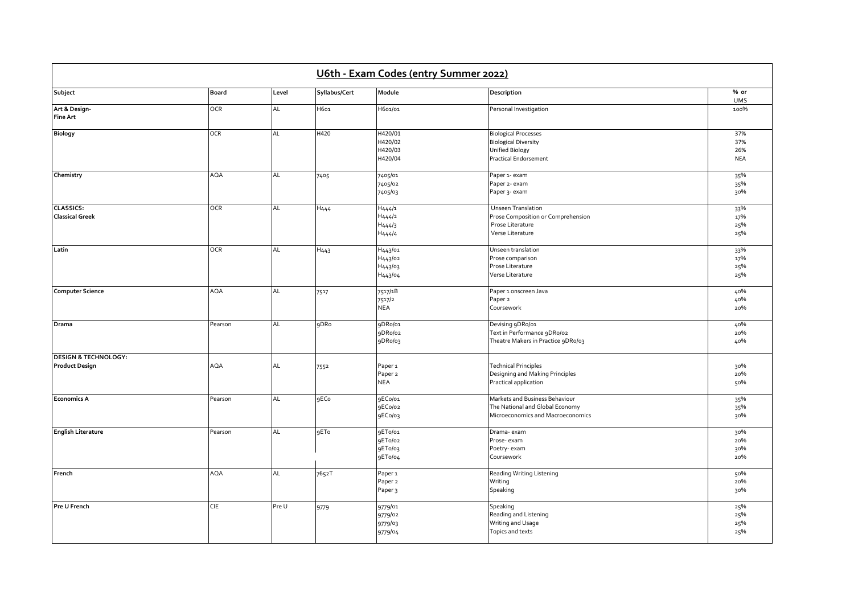| U6th - Exam Codes (entry Summer 2022)                    |              |           |                  |                                                                    |                                                                                                        |                                 |  |  |  |
|----------------------------------------------------------|--------------|-----------|------------------|--------------------------------------------------------------------|--------------------------------------------------------------------------------------------------------|---------------------------------|--|--|--|
| Subject                                                  | <b>Board</b> | Level     | Syllabus/Cert    | Module                                                             | Description                                                                                            | % or<br><b>UMS</b>              |  |  |  |
| Art & Design-<br>Fine Art                                | <b>OCR</b>   | AL        | H601             | H601/01                                                            | Personal Investigation                                                                                 | 100%                            |  |  |  |
| <b>Biology</b>                                           | <b>OCR</b>   | AL        | H420             | H420/01<br>H420/02<br>H420/03<br>H420/04                           | <b>Biological Processes</b><br><b>Biological Diversity</b><br>Unified Biology<br>Practical Endorsement | 37%<br>37%<br>26%<br><b>NEA</b> |  |  |  |
| Chemistry                                                | <b>AQA</b>   | <b>AL</b> | 7405             | 7405/01<br>7405/02<br>7405/03                                      | Paper 1- exam<br>Paper 2- exam<br>Paper 3- exam                                                        | 35%<br>35%<br>30%               |  |  |  |
| <b>CLASSICS:</b><br><b>Classical Greek</b>               | <b>OCR</b>   | AL        | H <sub>444</sub> | H444/1<br>H <sub>444</sub> /2<br>H <sub>444</sub> /3<br>H444/4     | Unseen Translation<br>Prose Composition or Comprehension<br>Prose Literature<br>Verse Literature       | 33%<br>17%<br>25%<br>25%        |  |  |  |
| Latin                                                    | <b>OCR</b>   | AL        | H <sub>443</sub> | H <sub>443</sub> /01<br>H443/02<br>H <sub>443</sub> /03<br>H443/04 | Unseen translation<br>Prose comparison<br>Prose Literature<br>Verse Literature                         | 33%<br>17%<br>25%<br>25%        |  |  |  |
| <b>Computer Science</b>                                  | <b>AQA</b>   | AL        | 7517             | 7517/1B<br>7517/2<br><b>NEA</b>                                    | Paper 1 onscreen Java<br>Paper <sub>2</sub><br>Coursework                                              | 40%<br>40%<br>20%               |  |  |  |
| Drama                                                    | Pearson      | <b>AL</b> | 9DRo             | 9DRo/01<br>9DRo/02<br>9DRo/03                                      | Devising 9DRo/01<br>Text in Performance 9DRo/02<br>Theatre Makers in Practice 9DRo/03                  | 40%<br>20%<br>40%               |  |  |  |
| <b>DESIGN &amp; TECHNOLOGY:</b><br><b>Product Design</b> | <b>AQA</b>   | AL        | 7552             | Paper <sub>1</sub><br>Paper <sub>2</sub><br><b>NEA</b>             | <b>Technical Principles</b><br>Designing and Making Principles<br>Practical application                | 30%<br>20%<br>50%               |  |  |  |
| <b>Economics A</b>                                       | Pearson      | AL        | <b>9ECo</b>      | 9ECo/01<br>9ECo/02<br>9ECo/03                                      | Markets and Business Behaviour<br>The National and Global Economy<br>Microeconomics and Macroeconomics | 35%<br>35%<br>30%               |  |  |  |
| <b>English Literature</b>                                | Pearson      | AL        | 9ETo             | 9ET0/01<br>9ET0/02<br>9ET0/03<br>9ETo/04                           | Drama-exam<br>Prose-exam<br>Poetry-exam<br>Coursework                                                  | 30%<br>20%<br>30%<br>20%        |  |  |  |
| French                                                   | <b>AQA</b>   | AL        | 7652T            | Paper <sub>1</sub><br>Paper <sub>2</sub><br>Paper <sub>3</sub>     | Reading Writing Listening<br>Writing<br>Speaking                                                       | 50%<br>20%<br>30%               |  |  |  |
| Pre U French                                             | <b>CIE</b>   | Pre U     | 9779             | 9779/01<br>9779/02<br>9779/03<br>9779/04                           | Speaking<br>Reading and Listening<br>Writing and Usage<br>Topics and texts                             | 25%<br>25%<br>25%<br>25%        |  |  |  |